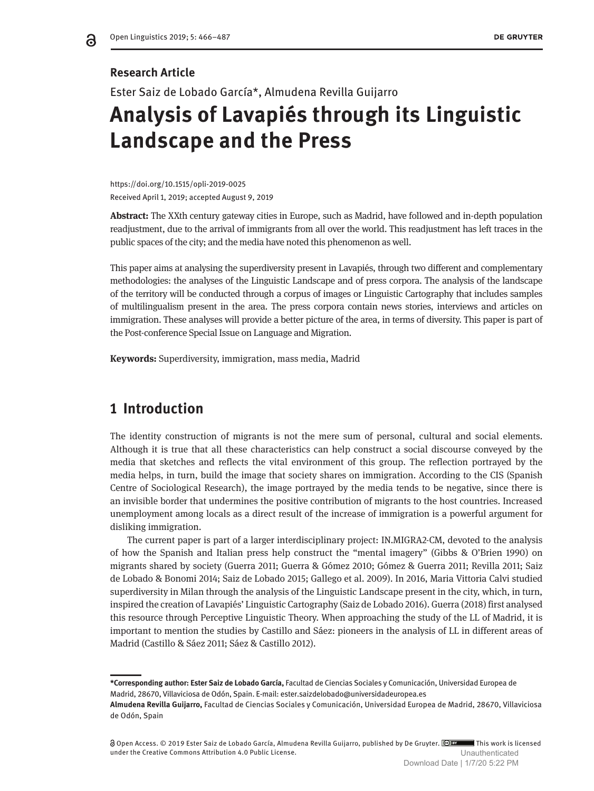### **Research Article**

ခ

Ester Saiz de Lobado García\*, Almudena Revilla Guijarro

# **Analysis of Lavapiés through its Linguistic Landscape and the Press**

https://doi.org/10.1515/opli-2019-0025 Received April 1, 2019; accepted August 9, 2019

**Abstract:** The XXth century gateway cities in Europe, such as Madrid, have followed and in-depth population readjustment, due to the arrival of immigrants from all over the world. This readjustment has left traces in the public spaces of the city; and the media have noted this phenomenon as well.

This paper aims at analysing the superdiversity present in Lavapiés, through two different and complementary methodologies: the analyses of the Linguistic Landscape and of press corpora. The analysis of the landscape of the territory will be conducted through a corpus of images or Linguistic Cartography that includes samples of multilingualism present in the area. The press corpora contain news stories, interviews and articles on immigration. These analyses will provide a better picture of the area, in terms of diversity. This paper is part of the Post-conference Special Issue on Language and Migration.

**Keywords:** Superdiversity, immigration, mass media, Madrid

# **1 Introduction**

The identity construction of migrants is not the mere sum of personal, cultural and social elements. Although it is true that all these characteristics can help construct a social discourse conveyed by the media that sketches and reflects the vital environment of this group. The reflection portrayed by the media helps, in turn, build the image that society shares on immigration. According to the CIS (Spanish Centre of Sociological Research), the image portrayed by the media tends to be negative, since there is an invisible border that undermines the positive contribution of migrants to the host countries. Increased unemployment among locals as a direct result of the increase of immigration is a powerful argument for disliking immigration.

The current paper is part of a larger interdisciplinary project: IN.MIGRA2-CM, devoted to the analysis of how the Spanish and Italian press help construct the "mental imagery" (Gibbs & O'Brien 1990) on migrants shared by society (Guerra 2011; Guerra & Gómez 2010; Gómez & Guerra 2011; Revilla 2011; Saiz de Lobado & Bonomi 2014; Saiz de Lobado 2015; Gallego et al. 2009). In 2016, Maria Vittoria Calvi studied superdiversity in Milan through the analysis of the Linguistic Landscape present in the city, which, in turn, inspired the creation of Lavapiés' Linguistic Cartography (Saiz de Lobado 2016). Guerra (2018) first analysed this resource through Perceptive Linguistic Theory. When approaching the study of the LL of Madrid, it is important to mention the studies by Castillo and Sáez: pioneers in the analysis of LL in different areas of Madrid (Castillo & Sáez 2011; Sáez & Castillo 2012).

**<sup>\*</sup>Corresponding author: Ester Saiz de Lobado García,** Facultad de Ciencias Sociales y Comunicación, Universidad Europea de Madrid, 28670, Villaviciosa de Odón, Spain. E-mail: [ester.saizdelobado@universidadeuropea.es](mailto:ester.saizdelobado@universidadeuropea.es)

**Almudena Revilla Guijarro,** Facultad de Ciencias Sociales y Comunicación, Universidad Europea de Madrid, 28670, Villaviciosa de Odón, Spain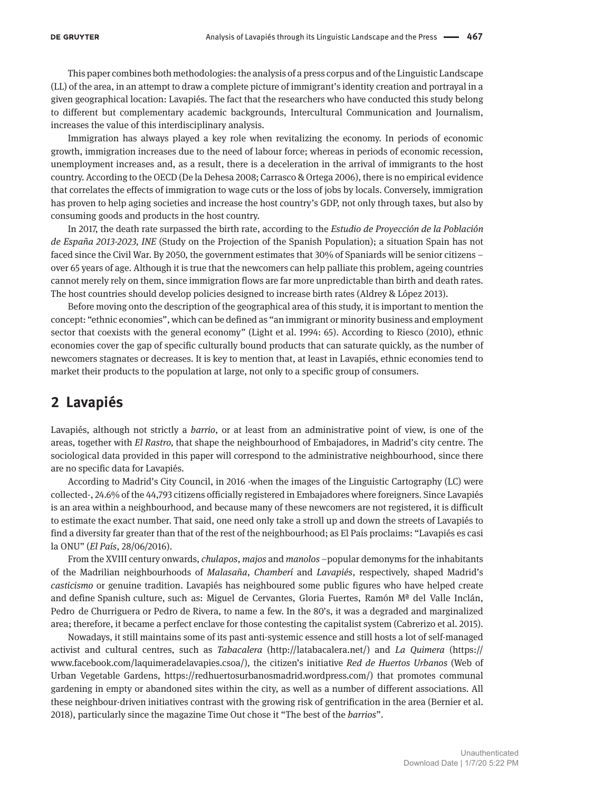This paper combines both methodologies: the analysis of a press corpus and of the Linguistic Landscape (LL) of the area, in an attempt to draw a complete picture of immigrant's identity creation and portrayal in a given geographical location: Lavapiés. The fact that the researchers who have conducted this study belong to different but complementary academic backgrounds, Intercultural Communication and Journalism, increases the value of this interdisciplinary analysis.

Immigration has always played a key role when revitalizing the economy. In periods of economic growth, immigration increases due to the need of labour force; whereas in periods of economic recession, unemployment increases and, as a result, there is a deceleration in the arrival of immigrants to the host country. According to the OECD (De la Dehesa 2008; Carrasco & Ortega 2006), there is no empirical evidence that correlates the effects of immigration to wage cuts or the loss of jobs by locals. Conversely, immigration has proven to help aging societies and increase the host country's GDP, not only through taxes, but also by consuming goods and products in the host country.

In 2017, the death rate surpassed the birth rate, according to the *Estudio de Proyección de la Población de España 2013-2023, INE* (Study on the Projection of the Spanish Population); a situation Spain has not faced since the Civil War. By 2050, the government estimates that 30% of Spaniards will be senior citizens – over 65 years of age. Although it is true that the newcomers can help palliate this problem, ageing countries cannot merely rely on them, since immigration flows are far more unpredictable than birth and death rates. The host countries should develop policies designed to increase birth rates (Aldrey & López 2013).

Before moving onto the description of the geographical area of this study, it is important to mention the concept: "ethnic economies", which can be defined as "an immigrant or minority business and employment sector that coexists with the general economy" (Light et al. 1994: 65). According to Riesco (2010), ethnic economies cover the gap of specific culturally bound products that can saturate quickly, as the number of newcomers stagnates or decreases. It is key to mention that, at least in Lavapiés, ethnic economies tend to market their products to the population at large, not only to a specific group of consumers.

# **2 Lavapiés**

Lavapiés, although not strictly a *barrio*, or at least from an administrative point of view, is one of the areas, together with *El Rastro,* that shape the neighbourhood of Embajadores, in Madrid's city centre. The sociological data provided in this paper will correspond to the administrative neighbourhood, since there are no specific data for Lavapiés.

According to Madrid's City Council, in 2016 -when the images of the Linguistic Cartography (LC) were collected-, 24.6% of the 44,793 citizens officially registered in Embajadores where foreigners. Since Lavapiés is an area within a neighbourhood, and because many of these newcomers are not registered, it is difficult to estimate the exact number. That said, one need only take a stroll up and down the streets of Lavapiés to find a diversity far greater than that of the rest of the neighbourhood; as El País proclaims: "Lavapiés es casi la ONU" (*El País*, 28/06/2016).

From the XVIII century onwards, *chulapos*, *majos* and *manolos* –popular demonyms for the inhabitants of the Madrilian neighbourhoods of *Malasaña*, *Chamberí* and *Lavapiés*, respectively, shaped Madrid's *casticismo* or genuine tradition. Lavapiés has neighboured some public figures who have helped create and define Spanish culture, such as: Miguel de Cervantes, Gloria Fuertes, Ramón Mª del Valle Inclán, Pedro de Churriguera or Pedro de Rivera, to name a few. In the 80's, it was a degraded and marginalized area; therefore, it became a perfect enclave for those contesting the capitalist system (Cabrerizo et al. 2015).

Nowadays, it still maintains some of its past anti-systemic essence and still hosts a lot of self-managed activist and cultural centres, such as *Tabacalera* [\(http://latabacalera.net/\)](http://latabacalera.net/)) and *La Quimera* (https:// [www.facebook.com/laquimeradelavapies.csoa/\)](http://www.facebook.com/laquimeradelavapies.csoa/))*,* the citizen's initiative *Red de Huertos Urbanos* (Web of Urban Vegetable Gardens, https://redhuertosurbanosmadrid.wordpress.com/) that promotes communal gardening in empty or abandoned sites within the city, as well as a number of different associations. All these neighbour-driven initiatives contrast with the growing risk of gentrification in the area (Bernier et al. 2018), particularly since the magazine Time Out chose it "The best of the *barrios*".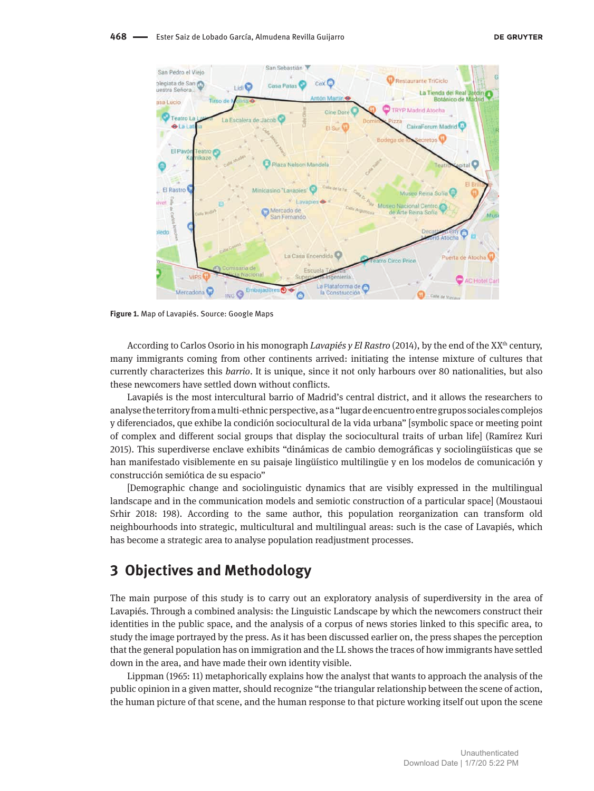

**Figure 1.** Map of Lavapiés. Source: Google Maps

According to Carlos Osorio in his monograph *Lavapiés y El Rastro* (2014), by the end of the XX<sup>th</sup> century, many immigrants coming from other continents arrived: initiating the intense mixture of cultures that currently characterizes this *barrio*. It is unique, since it not only harbours over 80 nationalities, but also these newcomers have settled down without conflicts.

Lavapiés is the most intercultural barrio of Madrid's central district, and it allows the researchers to analyse the territory from a multi-ethnic perspective, as a "lugar de encuentro entre grupos sociales complejos y diferenciados, que exhibe la condición sociocultural de la vida urbana" [symbolic space or meeting point of complex and different social groups that display the sociocultural traits of urban life] (Ramírez Kuri 2015). This superdiverse enclave exhibits "dinámicas de cambio demográficas y sociolingüísticas que se han manifestado visiblemente en su paisaje lingüístico multilingüe y en los modelos de comunicación y construcción semiótica de su espacio"

[Demographic change and sociolinguistic dynamics that are visibly expressed in the multilingual landscape and in the communication models and semiotic construction of a particular space] (Moustaoui Srhir 2018: 198). According to the same author, this population reorganization can transform old neighbourhoods into strategic, multicultural and multilingual areas: such is the case of Lavapiés, which has become a strategic area to analyse population readjustment processes.

# **3 Objectives and Methodology**

The main purpose of this study is to carry out an exploratory analysis of superdiversity in the area of Lavapiés. Through a combined analysis: the Linguistic Landscape by which the newcomers construct their identities in the public space, and the analysis of a corpus of news stories linked to this specific area, to study the image portrayed by the press. As it has been discussed earlier on, the press shapes the perception that the general population has on immigration and the LL shows the traces of how immigrants have settled down in the area, and have made their own identity visible.

Lippman (1965: 11) metaphorically explains how the analyst that wants to approach the analysis of the public opinion in a given matter, should recognize "the triangular relationship between the scene of action, the human picture of that scene, and the human response to that picture working itself out upon the scene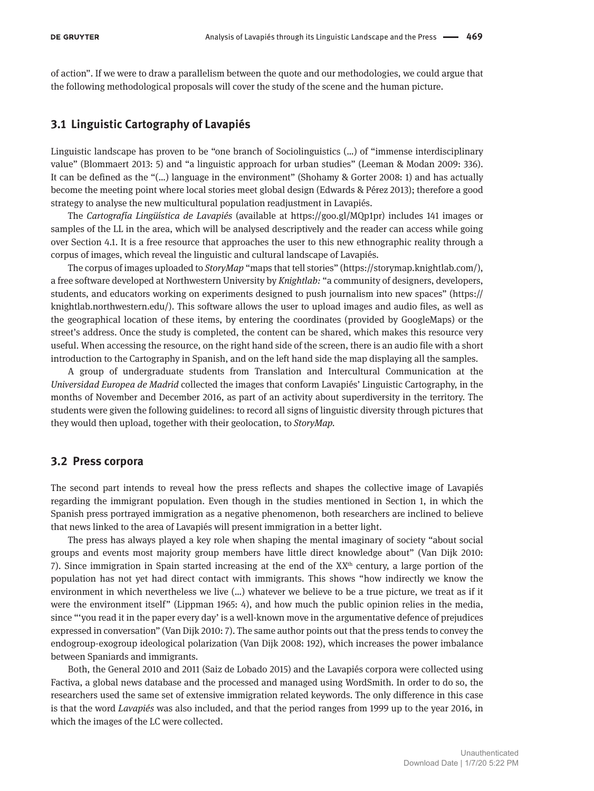of action". If we were to draw a parallelism between the quote and our methodologies, we could argue that the following methodological proposals will cover the study of the scene and the human picture.

### **3.1 Linguistic Cartography of Lavapiés**

Linguistic landscape has proven to be "one branch of Sociolinguistics (…) of "immense interdisciplinary value" (Blommaert 2013: 5) and "a linguistic approach for urban studies" (Leeman & Modan 2009: 336). It can be defined as the "(…) language in the environment" (Shohamy & Gorter 2008: 1) and has actually become the meeting point where local stories meet global design (Edwards & Pérez 2013); therefore a good strategy to analyse the new multicultural population readjustment in Lavapiés.

The *Cartografía Lingüística de Lavapiés* (available at https://goo.gl/MQp1pr) includes 141 images or samples of the LL in the area, which will be analysed descriptively and the reader can access while going over Section 4.1. It is a free resource that approaches the user to this new ethnographic reality through a corpus of images, which reveal the linguistic and cultural landscape of Lavapiés.

The corpus of images uploaded to *StoryMap* "maps that tell stories" (https://storymap.knightlab.com/), a free software developed at Northwestern University by *Knightlab:* "a community of designers, developers, students, and educators working on experiments designed to push journalism into new spaces" (https:// knightlab.northwestern.edu/). This software allows the user to upload images and audio files, as well as the geographical location of these items, by entering the coordinates (provided by GoogleMaps) or the street's address. Once the study is completed, the content can be shared, which makes this resource very useful. When accessing the resource, on the right hand side of the screen, there is an audio file with a short introduction to the Cartography in Spanish, and on the left hand side the map displaying all the samples.

A group of undergraduate students from Translation and Intercultural Communication at the *Universidad Europea de Madrid* collected the images that conform Lavapiés' Linguistic Cartography, in the months of November and December 2016, as part of an activity about superdiversity in the territory. The students were given the following guidelines: to record all signs of linguistic diversity through pictures that they would then upload, together with their geolocation, to *StoryMap.*

### **3.2 Press corpora**

The second part intends to reveal how the press reflects and shapes the collective image of Lavapiés regarding the immigrant population. Even though in the studies mentioned in Section 1, in which the Spanish press portrayed immigration as a negative phenomenon, both researchers are inclined to believe that news linked to the area of Lavapiés will present immigration in a better light.

The press has always played a key role when shaping the mental imaginary of society "about social groups and events most majority group members have little direct knowledge about" (Van Dijk 2010: 7). Since immigration in Spain started increasing at the end of the  $XX<sup>th</sup>$  century, a large portion of the population has not yet had direct contact with immigrants. This shows "how indirectly we know the environment in which nevertheless we live (…) whatever we believe to be a true picture, we treat as if it were the environment itself" (Lippman 1965: 4), and how much the public opinion relies in the media, since "'you read it in the paper every day' is a well-known move in the argumentative defence of prejudices expressed in conversation" (Van Dijk 2010: 7). The same author points out that the press tends to convey the endogroup-exogroup ideological polarization (Van Dijk 2008: 192), which increases the power imbalance between Spaniards and immigrants.

Both, the General 2010 and 2011 (Saiz de Lobado 2015) and the Lavapiés corpora were collected using Factiva, a global news database and the processed and managed using WordSmith. In order to do so, the researchers used the same set of extensive immigration related keywords. The only difference in this case is that the word *Lavapiés* was also included, and that the period ranges from 1999 up to the year 2016, in which the images of the LC were collected.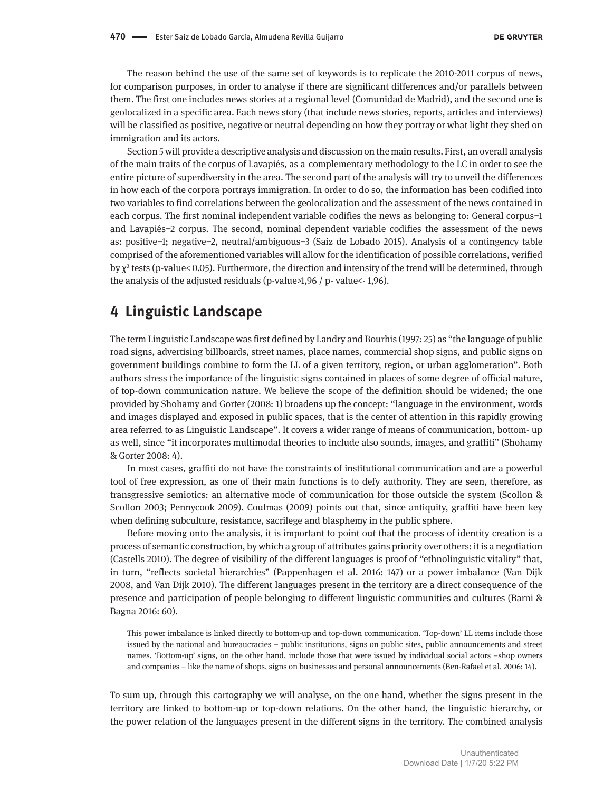The reason behind the use of the same set of keywords is to replicate the 2010-2011 corpus of news, for comparison purposes, in order to analyse if there are significant differences and/or parallels between them. The first one includes news stories at a regional level (Comunidad de Madrid), and the second one is geolocalized in a specific area. Each news story (that include news stories, reports, articles and interviews) will be classified as positive, negative or neutral depending on how they portray or what light they shed on immigration and its actors.

Section 5 will provide a descriptive analysis and discussion on the main results. First, an overall analysis of the main traits of the corpus of Lavapiés, as a complementary methodology to the LC in order to see the entire picture of superdiversity in the area. The second part of the analysis will try to unveil the differences in how each of the corpora portrays immigration. In order to do so, the information has been codified into two variables to find correlations between the geolocalization and the assessment of the news contained in each corpus. The first nominal independent variable codifies the news as belonging to: General corpus=1 and Lavapiés=2 corpus. The second, nominal dependent variable codifies the assessment of the news as: positive=1; negative=2, neutral/ambiguous=3 (Saiz de Lobado 2015). Analysis of a contingency table comprised of the aforementioned variables will allow for the identification of possible correlations, verified by χ² tests (p-value< 0.05). Furthermore, the direction and intensity of the trend will be determined, through the analysis of the adjusted residuals (p-value>1,96 / p- value<- 1,96).

# **4 Linguistic Landscape**

The term Linguistic Landscape was first defined by Landry and Bourhis (1997: 25) as "the language of public road signs, advertising billboards, street names, place names, commercial shop signs, and public signs on government buildings combine to form the LL of a given territory, region, or urban agglomeration". Both authors stress the importance of the linguistic signs contained in places of some degree of official nature, of top-down communication nature. We believe the scope of the definition should be widened; the one provided by Shohamy and Gorter (2008: 1) broadens up the concept: "language in the environment, words and images displayed and exposed in public spaces, that is the center of attention in this rapidly growing area referred to as Linguistic Landscape". It covers a wider range of means of communication, bottom- up as well, since "it incorporates multimodal theories to include also sounds, images, and graffiti" (Shohamy & Gorter 2008: 4).

In most cases, graffiti do not have the constraints of institutional communication and are a powerful tool of free expression, as one of their main functions is to defy authority. They are seen, therefore, as transgressive semiotics: an alternative mode of communication for those outside the system (Scollon & Scollon 2003; Pennycook 2009). Coulmas (2009) points out that, since antiquity, graffiti have been key when defining subculture, resistance, sacrilege and blasphemy in the public sphere.

Before moving onto the analysis, it is important to point out that the process of identity creation is a process of semantic construction, by which a group of attributes gains priority over others: it is a negotiation (Castells 2010). The degree of visibility of the different languages is proof of "ethnolinguistic vitality" that, in turn, "reflects societal hierarchies" (Pappenhagen et al. 2016: 147) or a power imbalance (Van Dijk 2008, and Van Dijk 2010). The different languages present in the territory are a direct consequence of the presence and participation of people belonging to different linguistic communities and cultures (Barni & Bagna 2016: 60).

This power imbalance is linked directly to bottom-up and top-down communication. 'Top-down' LL items include those issued by the national and bureaucracies – public institutions, signs on public sites, public announcements and street names. 'Bottom-up' signs, on the other hand, include those that were issued by individual social actors –shop owners and companies – like the name of shops, signs on businesses and personal announcements (Ben-Rafael et al. 2006: 14).

To sum up, through this cartography we will analyse, on the one hand, whether the signs present in the territory are linked to bottom-up or top-down relations. On the other hand, the linguistic hierarchy, or the power relation of the languages present in the different signs in the territory. The combined analysis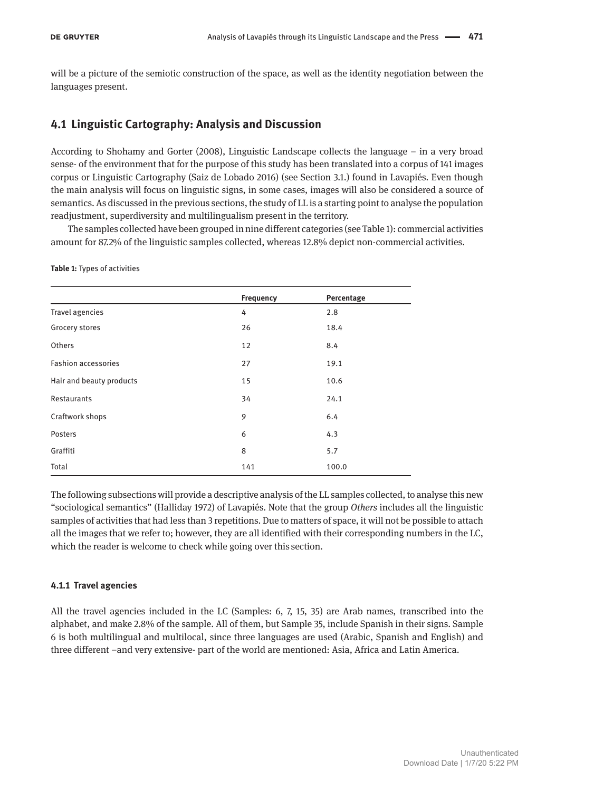will be a picture of the semiotic construction of the space, as well as the identity negotiation between the languages present.

### **4.1 Linguistic Cartography: Analysis and Discussion**

According to Shohamy and Gorter (2008), Linguistic Landscape collects the language – in a very broad sense- of the environment that for the purpose of this study has been translated into a corpus of 141 images corpus or Linguistic Cartography (Saiz de Lobado 2016) (see Section 3.1.) found in Lavapiés. Even though the main analysis will focus on linguistic signs, in some cases, images will also be considered a source of semantics. As discussed in the previous sections, the study of LL is a starting point to analyse the population readjustment, superdiversity and multilingualism present in the territory.

The samples collected have been grouped in nine different categories (see Table 1): commercial activities amount for 87.2% of the linguistic samples collected, whereas 12.8% depict non-commercial activities.

**Table 1:** Types of activities

|                            | Frequency | Percentage |
|----------------------------|-----------|------------|
| <b>Travel agencies</b>     | 4         | 2.8        |
| Grocery stores             | 26        | 18.4       |
| Others                     | 12        | 8.4        |
| <b>Fashion accessories</b> | 27        | 19.1       |
| Hair and beauty products   | 15        | 10.6       |
| Restaurants                | 34        | 24.1       |
| Craftwork shops            | 9         | 6.4        |
| Posters                    | 6         | 4.3        |
| Graffiti                   | 8         | 5.7        |
| Total                      | 141       | 100.0      |

The following subsections will provide a descriptive analysis of the LL samples collected, to analyse this new "sociological semantics" (Halliday 1972) of Lavapiés. Note that the group *Others* includes all the linguistic samples of activities that had less than 3 repetitions. Due to matters of space, it will not be possible to attach all the images that we refer to; however, they are all identified with their corresponding numbers in the LC, which the reader is welcome to check while going over this section.

#### **4.1.1 Travel agencies**

All the travel agencies included in the LC (Samples: 6, 7, 15, 35) are Arab names, transcribed into the alphabet, and make 2.8% of the sample. All of them, but Sample 35, include Spanish in their signs. Sample 6 is both multilingual and multilocal, since three languages are used (Arabic, Spanish and English) and three different –and very extensive- part of the world are mentioned: Asia, Africa and Latin America.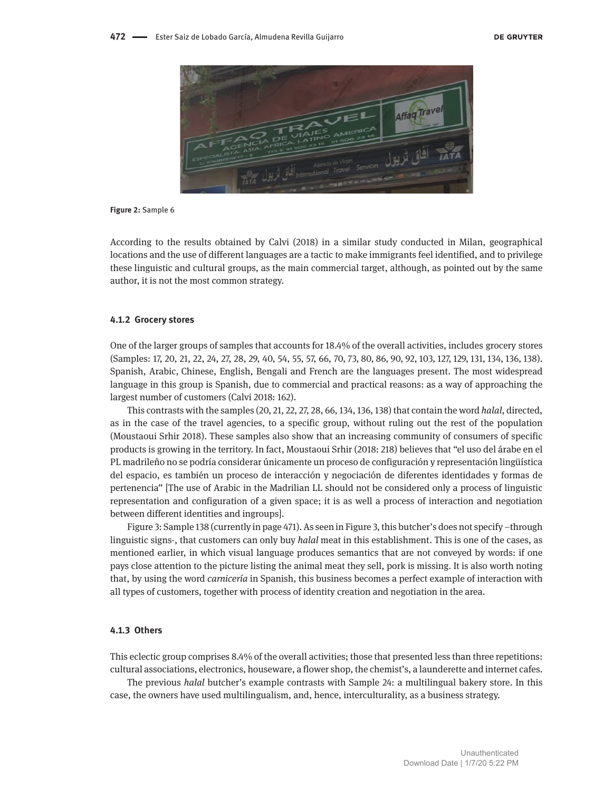

#### **Figure 2:** Sample 6

According to the results obtained by Calvi (2018) in a similar study conducted in Milan, geographical locations and the use of different languages are a tactic to make immigrants feel identified, and to privilege these linguistic and cultural groups, as the main commercial target, although, as pointed out by the same author, it is not the most common strategy.

#### **4.1.2 Grocery stores**

One of the larger groups of samples that accounts for 18.4% of the overall activities, includes grocery stores (Samples: 17, 20, 21, 22, 24, 27, 28, 29, 40, 54, 55, 57, 66, 70, 73, 80, 86, 90, 92, 103, 127, 129, 131, 134, 136, 138). Spanish, Arabic, Chinese, English, Bengali and French are the languages present. The most widespread language in this group is Spanish, due to commercial and practical reasons: as a way of approaching the largest number of customers (Calvi 2018: 162).

This contrasts with the samples (20, 21, 22, 27, 28, 66, 134, 136, 138) that contain the word *halal*, directed, as in the case of the travel agencies, to a specific group, without ruling out the rest of the population (Moustaoui Srhir 2018). These samples also show that an increasing community of consumers of specific products is growing in the territory. In fact, Moustaoui Srhir (2018: 218) believes that "el uso del árabe en el PL madrileño no se podría considerar únicamente un proceso de configuración y representación lingüística del espacio, es también un proceso de interacción y negociación de diferentes identidades y formas de pertenencia" [The use of Arabic in the Madrilian LL should not be considered only a process of linguistic representation and configuration of a given space; it is as well a process of interaction and negotiation between different identities and ingroups].

Figure 3: Sample 138 (currently in page 471). As seen in Figure 3, this butcher's does not specify –through linguistic signs-, that customers can only buy *halal* meat in this establishment. This is one of the cases, as mentioned earlier, in which visual language produces semantics that are not conveyed by words: if one pays close attention to the picture listing the animal meat they sell, pork is missing. It is also worth noting that, by using the word *carnicería* in Spanish, this business becomes a perfect example of interaction with all types of customers, together with process of identity creation and negotiation in the area.

#### **4.1.3 Others**

This eclectic group comprises 8.4% of the overall activities; those that presented less than three repetitions: cultural associations, electronics, houseware, a flower shop, the chemist's, a launderette and internet cafes.

The previous *halal* butcher's example contrasts with Sample 24: a multilingual bakery store. In this case, the owners have used multilingualism, and, hence, interculturality, as a business strategy.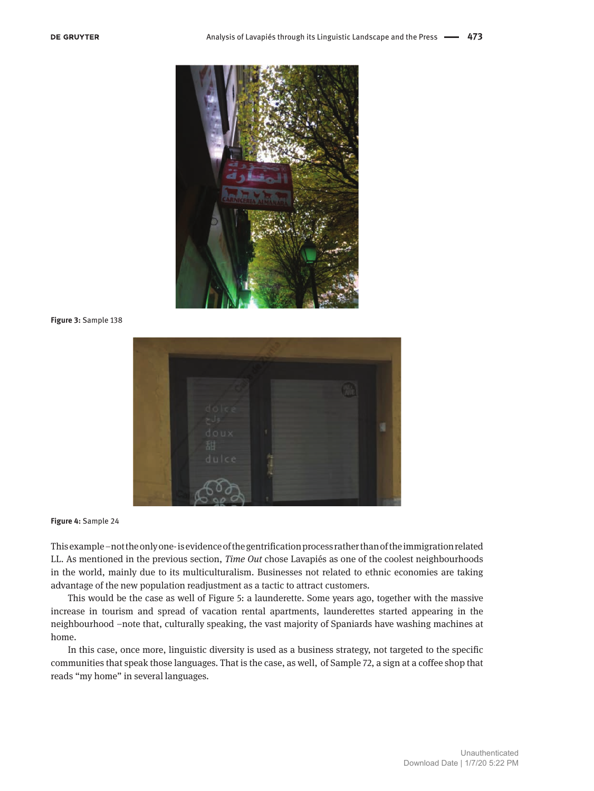

**Figure 3:** Sample 138



**Figure 4:** Sample 24

This example –not the only one- is evidence of the gentrification process rather than of the immigration related LL. As mentioned in the previous section, *Time Out* chose Lavapiés as one of the coolest neighbourhoods in the world, mainly due to its multiculturalism. Businesses not related to ethnic economies are taking advantage of the new population readjustment as a tactic to attract customers.

This would be the case as well of Figure 5: a launderette. Some years ago, together with the massive increase in tourism and spread of vacation rental apartments, launderettes started appearing in the neighbourhood –note that, culturally speaking, the vast majority of Spaniards have washing machines at home.

In this case, once more, linguistic diversity is used as a business strategy, not targeted to the specific communities that speak those languages. That is the case, as well, of Sample 72, a sign at a coffee shop that reads "my home" in several languages.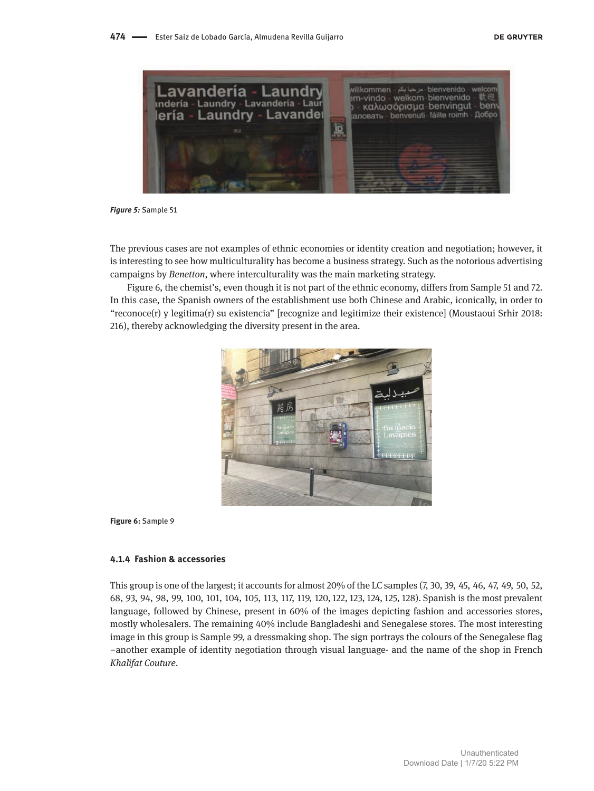

*Figure 5:* Sample 51

The previous cases are not examples of ethnic economies or identity creation and negotiation; however, it is interesting to see how multiculturality has become a business strategy. Such as the notorious advertising campaigns by *Benetton*, where interculturality was the main marketing strategy.

Figure 6, the chemist's, even though it is not part of the ethnic economy, differs from Sample 51 and 72. In this case, the Spanish owners of the establishment use both Chinese and Arabic, iconically, in order to "reconoce(r) y legitima(r) su existencia" [recognize and legitimize their existence] (Moustaoui Srhir 2018: 216), thereby acknowledging the diversity present in the area.



**Figure 6:** Sample 9

#### **4.1.4 Fashion & accessories**

This group is one of the largest; it accounts for almost 20% of the LC samples (7, 30, 39, 45, 46, 47, 49, 50, 52, 68, 93, 94, 98, 99, 100, 101, 104, 105, 113, 117, 119, 120, 122, 123, 124, 125, 128). Spanish is the most prevalent language, followed by Chinese, present in 60% of the images depicting fashion and accessories stores, mostly wholesalers. The remaining 40% include Bangladeshi and Senegalese stores. The most interesting image in this group is Sample 99, a dressmaking shop. The sign portrays the colours of the Senegalese flag –another example of identity negotiation through visual language- and the name of the shop in French *Khalifat Couture*.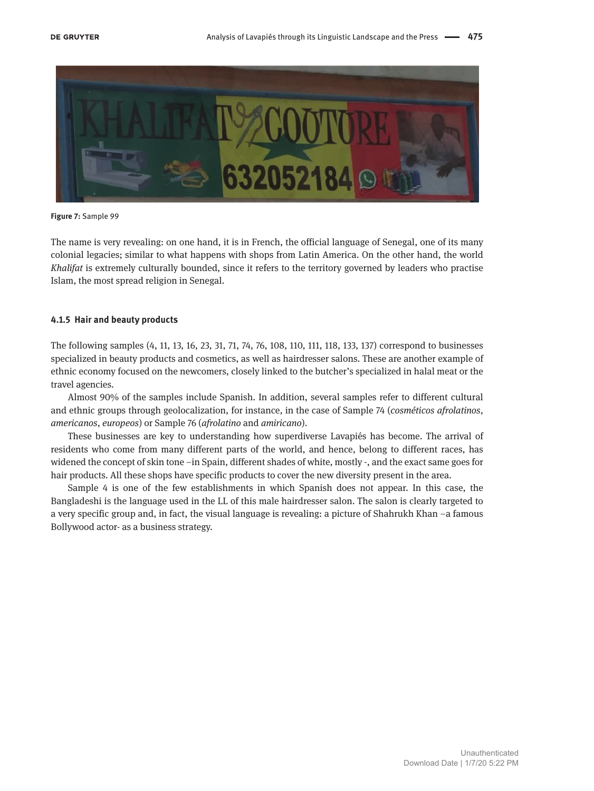

**Figure 7:** Sample 99

The name is very revealing: on one hand, it is in French, the official language of Senegal, one of its many colonial legacies; similar to what happens with shops from Latin America. On the other hand, the world *Khalifat* is extremely culturally bounded, since it refers to the territory governed by leaders who practise Islam, the most spread religion in Senegal.

#### **4.1.5 Hair and beauty products**

The following samples (4, 11, 13, 16, 23, 31, 71, 74, 76, 108, 110, 111, 118, 133, 137) correspond to businesses specialized in beauty products and cosmetics, as well as hairdresser salons. These are another example of ethnic economy focused on the newcomers, closely linked to the butcher's specialized in halal meat or the travel agencies.

Almost 90% of the samples include Spanish. In addition, several samples refer to different cultural and ethnic groups through geolocalization, for instance, in the case of Sample 74 (*cosméticos afrolatinos*, *americanos*, *europeos*) or Sample 76 (*afrolatino* and *amiricano*).

These businesses are key to understanding how superdiverse Lavapiés has become. The arrival of residents who come from many different parts of the world, and hence, belong to different races, has widened the concept of skin tone –in Spain, different shades of white, mostly -, and the exact same goes for hair products. All these shops have specific products to cover the new diversity present in the area.

Sample 4 is one of the few establishments in which Spanish does not appear. In this case, the Bangladeshi is the language used in the LL of this male hairdresser salon. The salon is clearly targeted to a very specific group and, in fact, the visual language is revealing: a picture of Shahrukh Khan –a famous Bollywood actor- as a business strategy.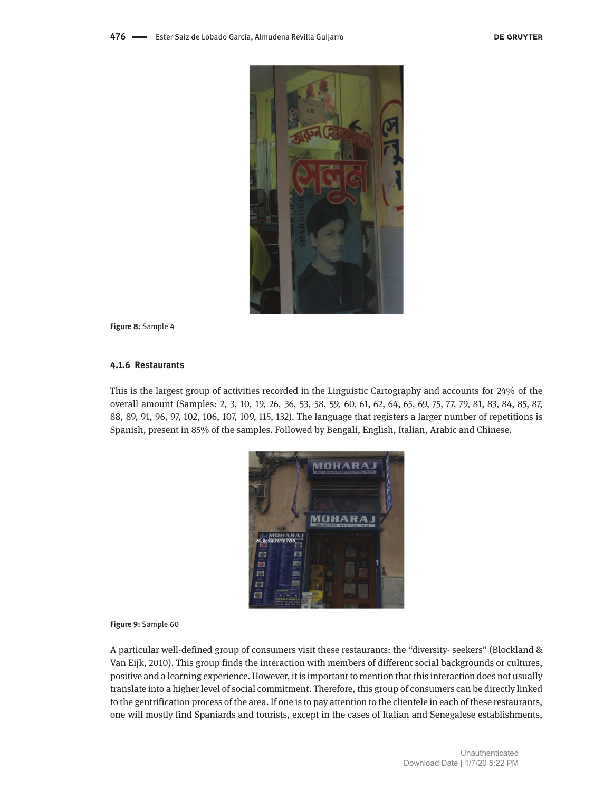

**Figure 8:** Sample 4

### **4.1.6 Restaurants**

This is the largest group of activities recorded in the Linguistic Cartography and accounts for 24% of the overall amount (Samples: 2, 3, 10, 19, 26, 36, 53, 58, 59, 60, 61, 62, 64, 65, 69, 75, 77, 79, 81, 83, 84, 85, 87, 88, 89, 91, 96, 97, 102, 106, 107, 109, 115, 132). The language that registers a larger number of repetitions is Spanish, present in 85% of the samples. Followed by Bengali, English, Italian, Arabic and Chinese.



#### **Figure 9:** Sample 60

A particular well-defined group of consumers visit these restaurants: the "diversity- seekers" (Blockland & Van Eijk, 2010). This group finds the interaction with members of different social backgrounds or cultures, positive and a learning experience. However, it is important to mention that this interaction does not usually translate into a higher level of social commitment. Therefore, this group of consumers can be directly linked to the gentrification process of the area. If one is to pay attention to the clientele in each of these restaurants, one will mostly find Spaniards and tourists, except in the cases of Italian and Senegalese establishments,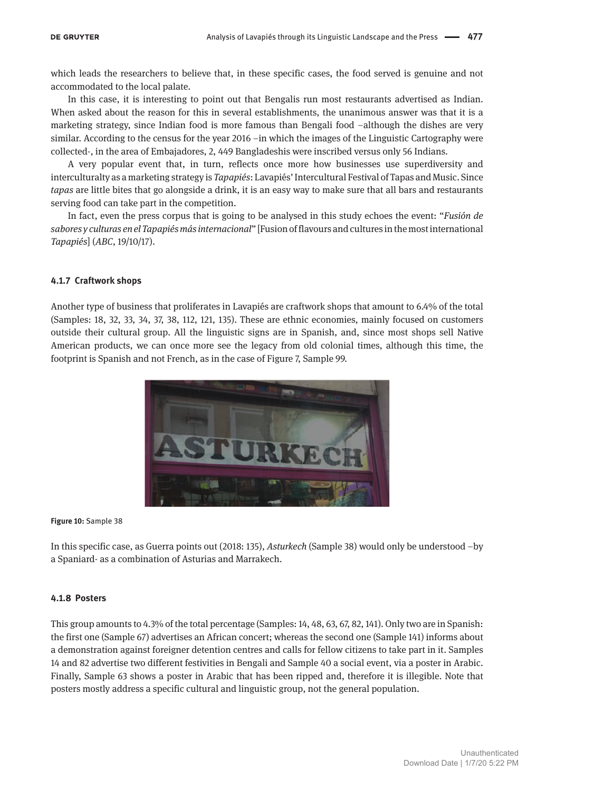which leads the researchers to believe that, in these specific cases, the food served is genuine and not accommodated to the local palate.

In this case, it is interesting to point out that Bengalis run most restaurants advertised as Indian. When asked about the reason for this in several establishments, the unanimous answer was that it is a marketing strategy, since Indian food is more famous than Bengali food –although the dishes are very similar. According to the census for the year 2016 –in which the images of the Linguistic Cartography were collected-, in the area of Embajadores, 2, 449 Bangladeshis were inscribed versus only 56 Indians.

A very popular event that, in turn, reflects once more how businesses use superdiversity and interculturalty as a marketing strategy is *Tapapiés*: Lavapiés' Intercultural Festival of Tapas and Music. Since *tapas* are little bites that go alongside a drink, it is an easy way to make sure that all bars and restaurants serving food can take part in the competition.

In fact, even the press corpus that is going to be analysed in this study echoes the event: "*Fusión de sabores y culturas en el Tapapiés más internacional*" [Fusion of flavours and cultures in the most international *Tapapiés*] (*ABC*, 19/10/17).

### **4.1.7 Craftwork shops**

Another type of business that proliferates in Lavapiés are craftwork shops that amount to 6.4% of the total (Samples: 18, 32, 33, 34, 37, 38, 112, 121, 135). These are ethnic economies, mainly focused on customers outside their cultural group. All the linguistic signs are in Spanish, and, since most shops sell Native American products, we can once more see the legacy from old colonial times, although this time, the footprint is Spanish and not French, as in the case of Figure 7, Sample 99.



**Figure 10:** Sample 38

In this specific case, as Guerra points out (2018: 135), *Asturkech* (Sample 38) would only be understood –by a Spaniard- as a combination of Asturias and Marrakech.

#### **4.1.8 Posters**

This group amounts to 4.3% of the total percentage (Samples: 14, 48, 63, 67, 82, 141). Only two are in Spanish: the first one (Sample 67) advertises an African concert; whereas the second one (Sample 141) informs about a demonstration against foreigner detention centres and calls for fellow citizens to take part in it. Samples 14 and 82 advertise two different festivities in Bengali and Sample 40 a social event, via a poster in Arabic. Finally, Sample 63 shows a poster in Arabic that has been ripped and, therefore it is illegible. Note that posters mostly address a specific cultural and linguistic group, not the general population.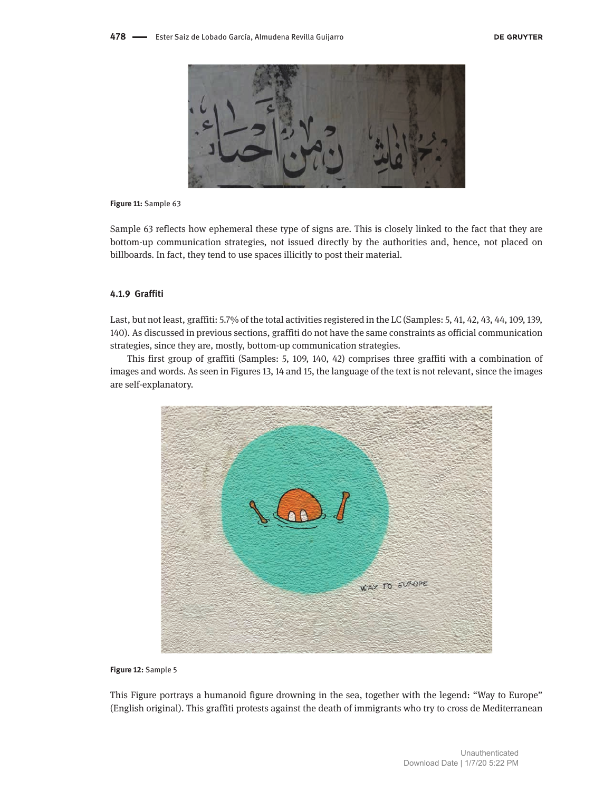

#### **Figure 11:** Sample 63

Sample 63 reflects how ephemeral these type of signs are. This is closely linked to the fact that they are bottom-up communication strategies, not issued directly by the authorities and, hence, not placed on billboards. In fact, they tend to use spaces illicitly to post their material.

#### **4.1.9 Graffiti**

Last, but not least, graffiti: 5.7% of the total activities registered in the LC (Samples: 5, 41, 42, 43, 44, 109, 139, 140). As discussed in previous sections, graffiti do not have the same constraints as official communication strategies, since they are, mostly, bottom-up communication strategies.

This first group of graffiti (Samples: 5, 109, 140, 42) comprises three graffiti with a combination of images and words. As seen in Figures 13, 14 and 15, the language of the text is not relevant, since the images are self-explanatory.



**Figure 12:** Sample 5

This Figure portrays a humanoid figure drowning in the sea, together with the legend: "Way to Europe" (English original). This graffiti protests against the death of immigrants who try to cross de Mediterranean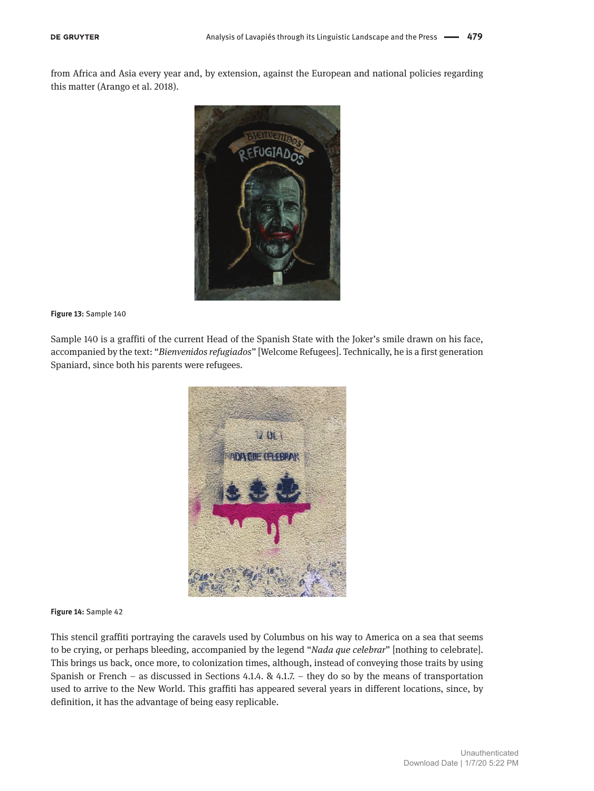from Africa and Asia every year and, by extension, against the European and national policies regarding this matter (Arango et al. 2018).



#### **Figure 13:** Sample 140

Sample 140 is a graffiti of the current Head of the Spanish State with the Joker's smile drawn on his face, accompanied by the text: "*Bienvenidos refugiados*" [Welcome Refugees]. Technically, he is a first generation Spaniard, since both his parents were refugees.



#### **Figure 14:** Sample 42

This stencil graffiti portraying the caravels used by Columbus on his way to America on a sea that seems to be crying, or perhaps bleeding, accompanied by the legend "*Nada que celebrar*" [nothing to celebrate]. This brings us back, once more, to colonization times, although, instead of conveying those traits by using Spanish or French – as discussed in Sections 4.1.4. & 4.1.7. – they do so by the means of transportation used to arrive to the New World. This graffiti has appeared several years in different locations, since, by definition, it has the advantage of being easy replicable.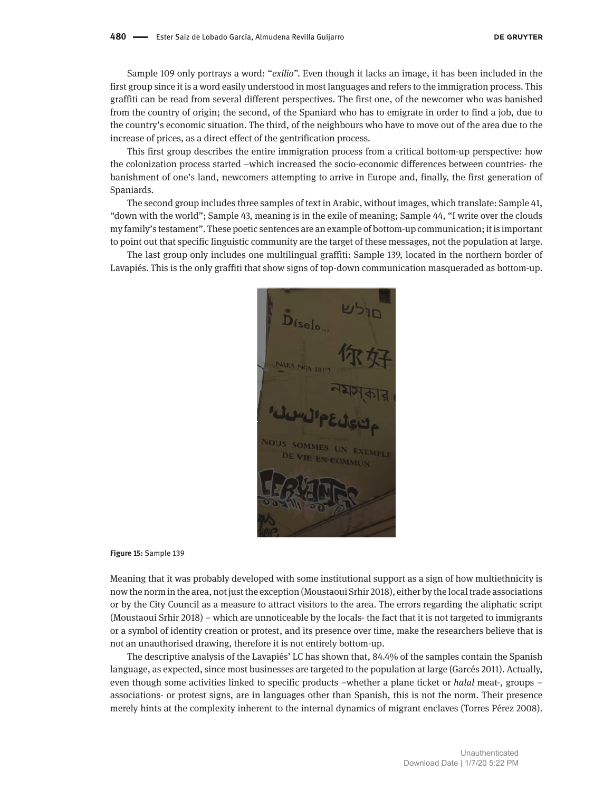Sample 109 only portrays a word: "*exilio"*. Even though it lacks an image, it has been included in the first group since it is a word easily understood in most languages and refers to the immigration process. This graffiti can be read from several different perspectives. The first one, of the newcomer who was banished from the country of origin; the second, of the Spaniard who has to emigrate in order to find a job, due to the country's economic situation. The third, of the neighbours who have to move out of the area due to the increase of prices, as a direct effect of the gentrification process.

This first group describes the entire immigration process from a critical bottom-up perspective: how the colonization process started –which increased the socio-economic differences between countries- the banishment of one's land, newcomers attempting to arrive in Europe and, finally, the first generation of Spaniards.

The second group includes three samples of text in Arabic, without images, which translate: Sample 41, "down with the world"; Sample 43, meaning is in the exile of meaning; Sample 44, "I write over the clouds my family's testament". These poetic sentences are an example of bottom-up communication; it is important to point out that specific linguistic community are the target of these messages, not the population at large.

The last group only includes one multilingual graffiti: Sample 139, located in the northern border of Lavapiés. This is the only graffiti that show signs of top-down communication masqueraded as bottom-up.

 $\mathbf{D}_{\text{fsel}_{\text{O}}_{\text{O}}}$ **SOMMES** 

#### **Figure 15:** Sample 139

Meaning that it was probably developed with some institutional support as a sign of how multiethnicity is now the norm in the area, not just the exception (Moustaoui Srhir 2018), either by the local trade associations or by the City Council as a measure to attract visitors to the area. The errors regarding the aliphatic script (Moustaoui Srhir 2018) – which are unnoticeable by the locals- the fact that it is not targeted to immigrants or a symbol of identity creation or protest, and its presence over time, make the researchers believe that is not an unauthorised drawing, therefore it is not entirely bottom-up.

The descriptive analysis of the Lavapiés' LC has shown that, 84.4% of the samples contain the Spanish language, as expected, since most businesses are targeted to the population at large (Garcés 2011). Actually, even though some activities linked to specific products –whether a plane ticket or *halal* meat-, groups – associations- or protest signs, are in languages other than Spanish, this is not the norm. Their presence merely hints at the complexity inherent to the internal dynamics of migrant enclaves (Torres Pérez 2008).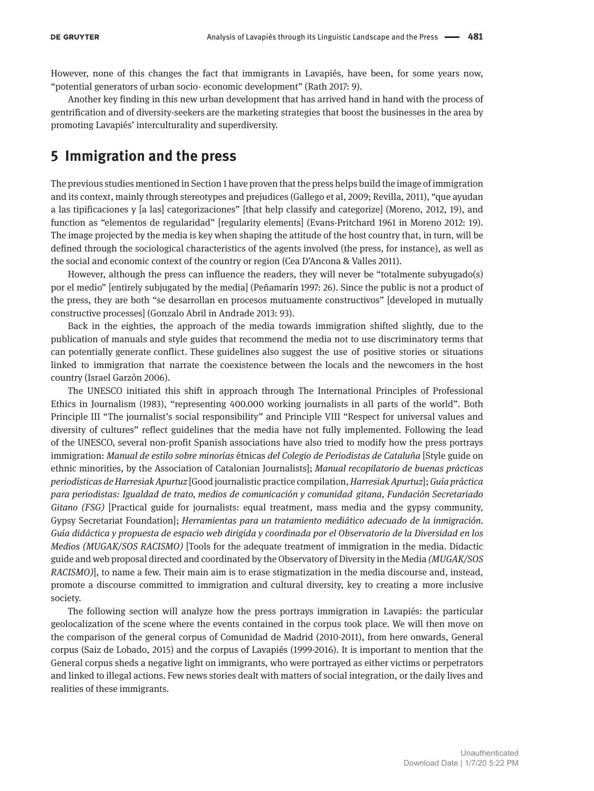However, none of this changes the fact that immigrants in Lavapiés, have been, for some years now, "potential generators of urban socio- economic development" (Rath 2017: 9).

Another key finding in this new urban development that has arrived hand in hand with the process of gentrification and of diversity-seekers are the marketing strategies that boost the businesses in the area by promoting Lavapiés' interculturality and superdiversity.

# **5 Immigration and the press**

The previous studies mentioned in Section 1 have proven that the press helps build the image of immigration and its context, mainly through stereotypes and prejudices (Gallego et al, 2009; Revilla, 2011), "que ayudan a las tipificaciones y [a las] categorizaciones" [that help classify and categorize] (Moreno, 2012, 19), and function as "elementos de regularidad" [regularity elements] (Evans-Pritchard 1961 in Moreno 2012: 19). The image projected by the media is key when shaping the attitude of the host country that, in turn, will be defined through the sociological characteristics of the agents involved (the press, for instance), as well as the social and economic context of the country or region (Cea D'Ancona & Valles 2011).

However, although the press can influence the readers, they will never be "totalmente subyugado(s) por el medio" [entirely subjugated by the media] (Peñamarín 1997: 26). Since the public is not a product of the press, they are both "se desarrollan en procesos mutuamente constructivos" [developed in mutually constructive processes] (Gonzalo Abril in Andrade 2013: 93).

Back in the eighties, the approach of the media towards immigration shifted slightly, due to the publication of manuals and style guides that recommend the media not to use discriminatory terms that can potentially generate conflict. These guidelines also suggest the use of positive stories or situations linked to immigration that narrate the coexistence between the locals and the newcomers in the host country (Israel Garzón 2006).

The UNESCO initiated this shift in approach through The International Principles of Professional Ethics in Journalism (1983), "representing 400.000 working journalists in all parts of the world". Both Principle III "The journalist's social responsibility" and Principle VIII "Respect for universal values and diversity of cultures" reflect guidelines that the media have not fully implemented. Following the lead of the UNESCO, several non-profit Spanish associations have also tried to modify how the press portrays immigration: *Manual de estilo sobre minorías* étnicas *del Colegio de Periodistas de Cataluña* [Style guide on ethnic minorities, by the Association of Catalonian Journalists]; *Manual recopilatorio de buenas prácticas periodísticas de Harresiak Apurtuz* [Good journalistic practice compilation, *Harresiak Apurtuz*]; *Guía práctica para periodistas: Igualdad de trato, medios de comunicación y comunidad gitana, Fundación Secretariado Gitano (FSG)* [Practical guide for journalists: equal treatment, mass media and the gypsy community, Gypsy Secretariat Foundation]; *Herramientas para un tratamiento mediático adecuado de la inmigración. Guía didáctica y propuesta de espacio web dirigida y coordinada por el Observatorio de la Diversidad en los Medios (MUGAK/SOS RACISMO)* [Tools for the adequate treatment of immigration in the media. Didactic guide and web proposal directed and coordinated by the Observatory of Diversity in the Media *(MUGAK/SOS RACISMO)*], to name a few. Their main aim is to erase stigmatization in the media discourse and, instead, promote a discourse committed to immigration and cultural diversity, key to creating a more inclusive society.

The following section will analyze how the press portrays immigration in Lavapiés: the particular geolocalization of the scene where the events contained in the corpus took place. We will then move on the comparison of the general corpus of Comunidad de Madrid (2010-2011), from here onwards, General corpus (Saiz de Lobado, 2015) and the corpus of Lavapiés (1999-2016). It is important to mention that the General corpus sheds a negative light on immigrants, who were portrayed as either victims or perpetrators and linked to illegal actions. Few news stories dealt with matters of social integration, or the daily lives and realities of these immigrants.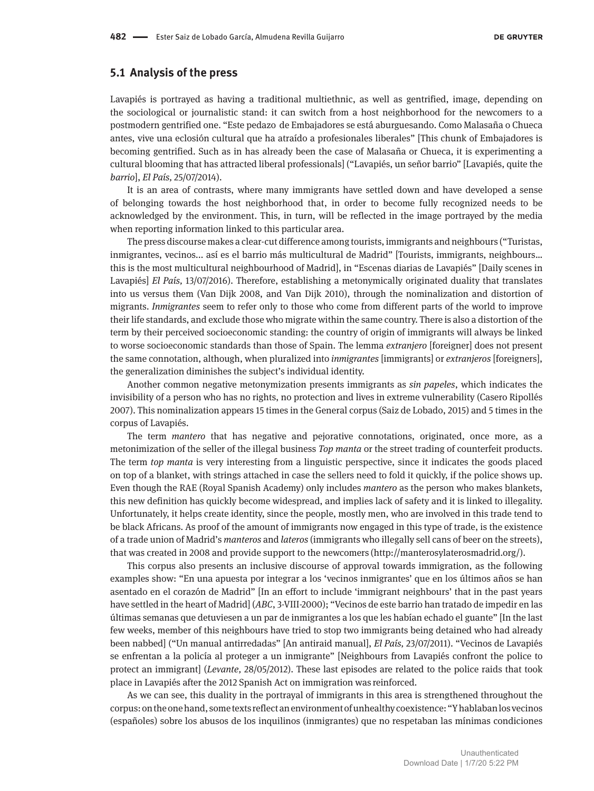### **5.1 Analysis of the press**

Lavapiés is portrayed as having a traditional multiethnic, as well as gentrified, image, depending on the sociological or journalistic stand: it can switch from a host neighborhood for the newcomers to a postmodern gentrified one. "Este pedazo de Embajadores se está aburguesando. Como Malasaña o Chueca antes, vive una eclosión cultural que ha atraído a profesionales liberales" [This chunk of Embajadores is becoming gentrified. Such as in has already been the case of Malasaña or Chueca, it is experimenting a cultural blooming that has attracted liberal professionals] ("Lavapiés, un señor barrio" [Lavapiés, quite the *barrio*], *El País,* 25/07/2014).

It is an area of contrasts, where many immigrants have settled down and have developed a sense of belonging towards the host neighborhood that, in order to become fully recognized needs to be acknowledged by the environment. This, in turn, will be reflected in the image portrayed by the media when reporting information linked to this particular area.

The press discourse makes a clear-cut difference among tourists, immigrants and neighbours ("Turistas, inmigrantes, vecinos... así es el barrio más multicultural de Madrid" [Tourists, immigrants, neighbours… this is the most multicultural neighbourhood of Madrid], in "Escenas diarias de Lavapiés" [Daily scenes in Lavapiés] *El País,* 13/07/2016). Therefore, establishing a metonymically originated duality that translates into us versus them (Van Dijk 2008, and Van Dijk 2010), through the nominalization and distortion of migrants. *Inmigrantes* seem to refer only to those who come from different parts of the world to improve their life standards, and exclude those who migrate within the same country. There is also a distortion of the term by their perceived socioeconomic standing: the country of origin of immigrants will always be linked to worse socioeconomic standards than those of Spain. The lemma *extranjero* [foreigner] does not present the same connotation, although, when pluralized into *inmigrantes* [immigrants] or *extranjeros* [foreigners], the generalization diminishes the subject's individual identity.

Another common negative metonymization presents immigrants as *sin papeles*, which indicates the invisibility of a person who has no rights, no protection and lives in extreme vulnerability (Casero Ripollés 2007). This nominalization appears 15 times in the General corpus (Saiz de Lobado, 2015) and 5 times in the corpus of Lavapiés.

The term *mantero* that has negative and pejorative connotations, originated, once more, as a metonimization of the seller of the illegal business *Top manta* or the street trading of counterfeit products. The term *top manta* is very interesting from a linguistic perspective, since it indicates the goods placed on top of a blanket, with strings attached in case the sellers need to fold it quickly, if the police shows up. Even though the RAE (Royal Spanish Academy) only includes *mantero* as the person who makes blankets, this new definition has quickly become widespread, and implies lack of safety and it is linked to illegality. Unfortunately, it helps create identity, since the people, mostly men, who are involved in this trade tend to be black Africans. As proof of the amount of immigrants now engaged in this type of trade, is the existence of a trade union of Madrid's *manteros* and *lateros* (immigrants who illegally sell cans of beer on the streets), that was created in 2008 and provide support to the newcomers ([http://manterosylaterosmadrid.org/\).](http://manterosylaterosmadrid.org/))

This corpus also presents an inclusive discourse of approval towards immigration, as the following examples show: "En una apuesta por integrar a los 'vecinos inmigrantes' que en los últimos años se han asentado en el corazón de Madrid" [In an effort to include 'immigrant neighbours' that in the past years have settled in the heart of Madrid] (*ABC*, 3-VIII-2000); "Vecinos de este barrio han tratado de impedir en las últimas semanas que detuviesen a un par de inmigrantes a los que les habían echado el guante" [In the last few weeks, member of this neighbours have tried to stop two immigrants being detained who had already been nabbed] ("Un manual antirredadas" [An antiraid manual], *El País,* 23/07/2011). "Vecinos de Lavapiés se enfrentan a la policía al proteger a un inmigrante" [Neighbours from Lavapiés confront the police to protect an immigrant] (*Levante,* 28/05/2012). These last episodes are related to the police raids that took place in Lavapiés after the 2012 Spanish Act on immigration was reinforced.

As we can see, this duality in the portrayal of immigrants in this area is strengthened throughout the corpus: on the one hand, some texts reflect an environment of unhealthy coexistence: "Y hablaban los vecinos (españoles) sobre los abusos de los inquilinos (inmigrantes) que no respetaban las mínimas condiciones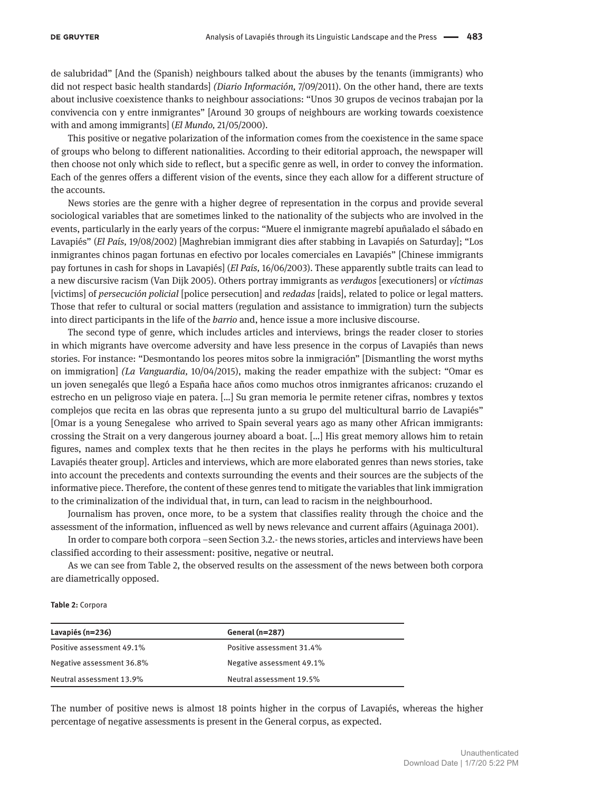de salubridad" [And the (Spanish) neighbours talked about the abuses by the tenants (immigrants) who did not respect basic health standards] *(Diario Información,* 7/09/2011). On the other hand, there are texts about inclusive coexistence thanks to neighbour associations: "Unos 30 grupos de vecinos trabajan por la convivencia con y entre inmigrantes" [Around 30 groups of neighbours are working towards coexistence with and among immigrants] (*El Mundo,* 21/05/2000).

This positive or negative polarization of the information comes from the coexistence in the same space of groups who belong to different nationalities. According to their editorial approach, the newspaper will then choose not only which side to reflect, but a specific genre as well, in order to convey the information. Each of the genres offers a different vision of the events, since they each allow for a different structure of the accounts.

News stories are the genre with a higher degree of representation in the corpus and provide several sociological variables that are sometimes linked to the nationality of the subjects who are involved in the events, particularly in the early years of the corpus: "Muere el inmigrante magrebí apuñalado el sábado en Lavapiés" (*El País,* 19/08/2002) [Maghrebian immigrant dies after stabbing in Lavapiés on Saturday]; "Los inmigrantes chinos pagan fortunas en efectivo por locales comerciales en Lavapiés" [Chinese immigrants pay fortunes in cash for shops in Lavapiés] (*El País,* 16/06/2003). These apparently subtle traits can lead to a new discursive racism (Van Dijk 2005). Others portray immigrants as *verdugos* [executioners] or *víctimas*  [victims] of *persecución policial* [police persecution] and *redadas* [raids], related to police or legal matters. Those that refer to cultural or social matters (regulation and assistance to immigration) turn the subjects into direct participants in the life of the *barrio* and, hence issue a more inclusive discourse.

The second type of genre, which includes articles and interviews, brings the reader closer to stories in which migrants have overcome adversity and have less presence in the corpus of Lavapiés than news stories. For instance: "Desmontando los peores mitos sobre la inmigración" [Dismantling the worst myths on immigration] *(La Vanguardia,* 10/04/2015), making the reader empathize with the subject: "Omar es un joven senegalés que llegó a España hace años como muchos otros inmigrantes africanos: cruzando el estrecho en un peligroso viaje en patera. […] Su gran memoria le permite retener cifras, nombres y textos complejos que recita en las obras que representa junto a su grupo del multicultural barrio de Lavapiés" [Omar is a young Senegalese who arrived to Spain several years ago as many other African immigrants: crossing the Strait on a very dangerous journey aboard a boat. […] His great memory allows him to retain figures, names and complex texts that he then recites in the plays he performs with his multicultural Lavapiés theater group]. Articles and interviews, which are more elaborated genres than news stories, take into account the precedents and contexts surrounding the events and their sources are the subjects of the informative piece. Therefore, the content of these genres tend to mitigate the variables that link immigration to the criminalization of the individual that, in turn, can lead to racism in the neighbourhood.

Journalism has proven, once more, to be a system that classifies reality through the choice and the assessment of the information, influenced as well by news relevance and current affairs (Aguinaga 2001).

In order to compare both corpora –seen Section 3.2.- the news stories, articles and interviews have been classified according to their assessment: positive, negative or neutral.

As we can see from Table 2, the observed results on the assessment of the news between both corpora are diametrically opposed.

#### **Table 2:** Corpora

| Lavapiés (n=236)          | General (n=287)           |
|---------------------------|---------------------------|
| Positive assessment 49.1% | Positive assessment 31.4% |
| Negative assessment 36.8% | Negative assessment 49.1% |
| Neutral assessment 13.9%  | Neutral assessment 19.5%  |

The number of positive news is almost 18 points higher in the corpus of Lavapiés, whereas the higher percentage of negative assessments is present in the General corpus, as expected.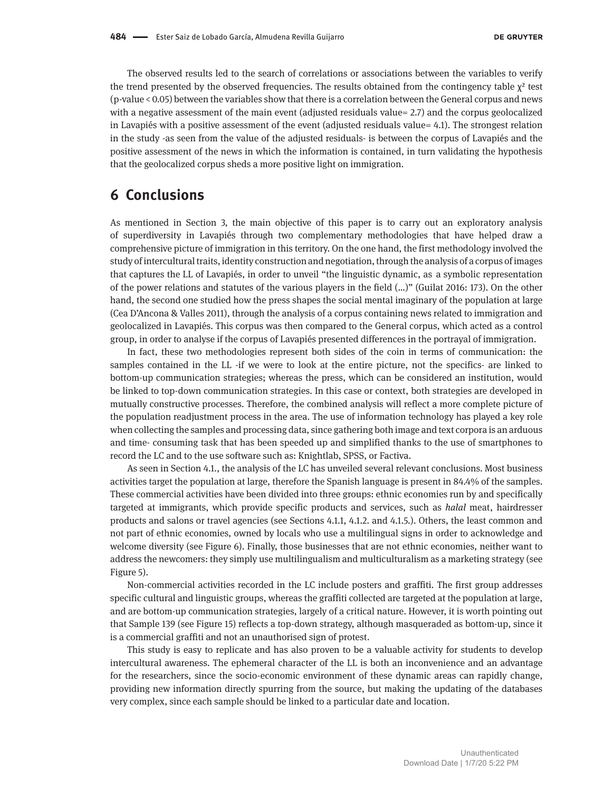The observed results led to the search of correlations or associations between the variables to verify the trend presented by the observed frequencies. The results obtained from the contingency table  $\chi^2$  test (p-value < 0.05) between the variables show that there is a correlation between the General corpus and news with a negative assessment of the main event (adjusted residuals value= 2.7) and the corpus geolocalized in Lavapiés with a positive assessment of the event (adjusted residuals value= 4.1). The strongest relation in the study -as seen from the value of the adjusted residuals- is between the corpus of Lavapiés and the positive assessment of the news in which the information is contained, in turn validating the hypothesis that the geolocalized corpus sheds a more positive light on immigration.

## **6 Conclusions**

As mentioned in Section 3, the main objective of this paper is to carry out an exploratory analysis of superdiversity in Lavapiés through two complementary methodologies that have helped draw a comprehensive picture of immigration in this territory. On the one hand, the first methodology involved the study of intercultural traits, identity construction and negotiation, through the analysis of a corpus of images that captures the LL of Lavapiés, in order to unveil "the linguistic dynamic, as a symbolic representation of the power relations and statutes of the various players in the field (…)" (Guilat 2016: 173). On the other hand, the second one studied how the press shapes the social mental imaginary of the population at large (Cea D'Ancona & Valles 2011), through the analysis of a corpus containing news related to immigration and geolocalized in Lavapiés. This corpus was then compared to the General corpus, which acted as a control group, in order to analyse if the corpus of Lavapiés presented differences in the portrayal of immigration.

In fact, these two methodologies represent both sides of the coin in terms of communication: the samples contained in the LL -if we were to look at the entire picture, not the specifics- are linked to bottom-up communication strategies; whereas the press, which can be considered an institution, would be linked to top-down communication strategies. In this case or context, both strategies are developed in mutually constructive processes. Therefore, the combined analysis will reflect a more complete picture of the population readjustment process in the area. The use of information technology has played a key role when collecting the samples and processing data, since gathering both image and text corpora is an arduous and time- consuming task that has been speeded up and simplified thanks to the use of smartphones to record the LC and to the use software such as: Knightlab, SPSS, or Factiva.

As seen in Section 4.1., the analysis of the LC has unveiled several relevant conclusions. Most business activities target the population at large, therefore the Spanish language is present in 84.4% of the samples. These commercial activities have been divided into three groups: ethnic economies run by and specifically targeted at immigrants, which provide specific products and services, such as *halal* meat, hairdresser products and salons or travel agencies (see Sections 4.1.1, 4.1.2. and 4.1.5.). Others, the least common and not part of ethnic economies, owned by locals who use a multilingual signs in order to acknowledge and welcome diversity (see Figure 6). Finally, those businesses that are not ethnic economies, neither want to address the newcomers: they simply use multilingualism and multiculturalism as a marketing strategy (see Figure 5).

Non-commercial activities recorded in the LC include posters and graffiti. The first group addresses specific cultural and linguistic groups, whereas the graffiti collected are targeted at the population at large, and are bottom-up communication strategies, largely of a critical nature. However, it is worth pointing out that Sample 139 (see Figure 15) reflects a top-down strategy, although masqueraded as bottom-up, since it is a commercial graffiti and not an unauthorised sign of protest.

This study is easy to replicate and has also proven to be a valuable activity for students to develop intercultural awareness. The ephemeral character of the LL is both an inconvenience and an advantage for the researchers, since the socio-economic environment of these dynamic areas can rapidly change, providing new information directly spurring from the source, but making the updating of the databases very complex, since each sample should be linked to a particular date and location.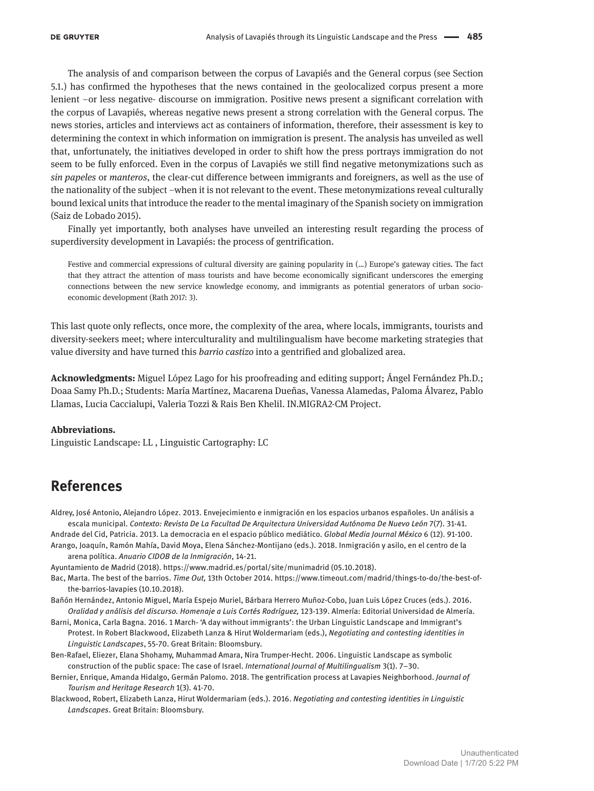The analysis of and comparison between the corpus of Lavapiés and the General corpus (see Section 5.1.) has confirmed the hypotheses that the news contained in the geolocalized corpus present a more lenient –or less negative- discourse on immigration. Positive news present a significant correlation with the corpus of Lavapiés, whereas negative news present a strong correlation with the General corpus. The news stories, articles and interviews act as containers of information, therefore, their assessment is key to determining the context in which information on immigration is present. The analysis has unveiled as well that, unfortunately, the initiatives developed in order to shift how the press portrays immigration do not seem to be fully enforced. Even in the corpus of Lavapiés we still find negative metonymizations such as *sin papeles* or *manteros*, the clear-cut difference between immigrants and foreigners, as well as the use of the nationality of the subject –when it is not relevant to the event. These metonymizations reveal culturally bound lexical units that introduce the reader to the mental imaginary of the Spanish society on immigration (Saiz de Lobado 2015).

Finally yet importantly, both analyses have unveiled an interesting result regarding the process of superdiversity development in Lavapiés: the process of gentrification.

Festive and commercial expressions of cultural diversity are gaining popularity in (…) Europe's gateway cities. The fact that they attract the attention of mass tourists and have become economically significant underscores the emerging connections between the new service knowledge economy, and immigrants as potential generators of urban socioeconomic development (Rath 2017: 3).

This last quote only reflects, once more, the complexity of the area, where locals, immigrants, tourists and diversity-seekers meet; where interculturality and multilingualism have become marketing strategies that value diversity and have turned this *barrio castizo* into a gentrified and globalized area.

**Acknowledgments:** Miguel López Lago for his proofreading and editing support; Ángel Fernández Ph.D.; Doaa Samy Ph.D.; Students: María Martínez, Macarena Dueñas, Vanessa Alamedas, Paloma Álvarez, Pablo Llamas, Lucia Caccialupi, Valeria Tozzi & Rais Ben Khelil. IN.MIGRA2-CM Project.

#### **Abbreviations.**

Linguistic Landscape: LL , Linguistic Cartography: LC

# **References**

Aldrey, José Antonio, Alejandro López. 2013. Envejecimiento e inmigración en los espacios urbanos españoles. Un análisis a escala municipal. *Contexto: Revista De La Facultad De Arquitectura Universidad Autónoma De Nuevo León 7(7).* 31-41.

Andrade del Cid, Patricia. 2013. La democracia en el espacio público mediático. *Global Media Journal México* 6 (12). 91-100. Arango, Joaquín, Ramón Mahía, David Moya, Elena Sánchez-Montijano (eds.). 2018. Inmigración y asilo, en el centro de la arena política. *Anuario CIDOB de la Inmigración*, 14-21.

Ayuntamiento de Madrid (2018). https:/[/www.madrid.es/portal/site/munimadrid](http://www.madrid.es/portal/site/munimadrid) (05.10.2018).

- Bac, Marta. The best of the barrios. *Time Out,* 13th October 2014. https://[www.timeout.com/madrid/things-to-do/the-best-of](http://www.timeout.com/madrid/things-to-do/the-best-of-the-barrios-lavapies)[the-barrios-lavapies](http://www.timeout.com/madrid/things-to-do/the-best-of-the-barrios-lavapies) (10.10.2018).
- Bañón Hernández, Antonio Miguel, María Espejo Muriel, Bárbara Herrero Muñoz-Cobo, Juan Luis López Cruces (eds.). 2016. *Oralidad y análisis del discurso. Homenaje a Luis Cortés Rodríguez,* 123-139. Almería: Editorial Universidad de Almería.
- Barni, Monica, Carla Bagna. 2016. 1 March- 'A day without immigrants': the Urban Linguistic Landscape and Immigrant's Protest. In Robert Blackwood, Elizabeth Lanza & Hirut Woldermariam (eds.), *Negotiating and contesting identities in Linguistic Landscapes*, 55-70. Great Britain: Bloomsbury.
- Ben-Rafael, Eliezer, Elana Shohamy, Muhammad Amara, Nira Trumper-Hecht. 2006. Linguistic Landscape as symbolic construction of the public space: The case of Israel. *International Journal of Multilingualism* 3(1). 7–30.
- Bernier, Enrique, Amanda Hidalgo, Germán Palomo. 2018. The gentrification process at Lavapies Neighborhood. *Journal of Tourism and Heritage Research* 1(3). 41-70.
- Blackwood, Robert, Elizabeth Lanza, Hirut Woldermariam (eds.). 2016. *Negotiating and contesting identities in Linguistic Landscapes*. Great Britain: Bloomsbury.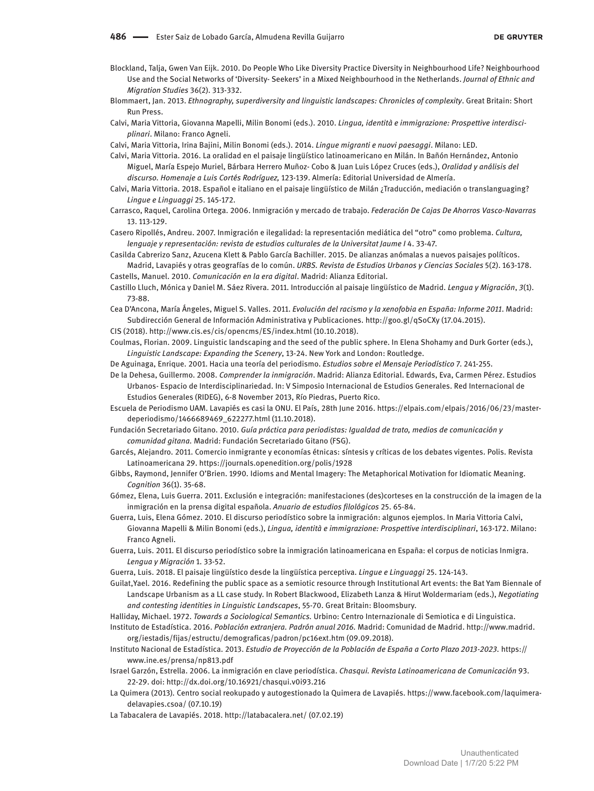- Blockland, Talja, Gwen Van Eijk. 2010. Do People Who Like Diversity Practice Diversity in Neighbourhood Life? Neighbourhood Use and the Social Networks of 'Diversity- Seekers' in a Mixed Neighbourhood in the Netherlands. *Journal of Ethnic and Migration Studies* 36(2). 313-332.
- Blommaert, Jan. 2013. *Ethnography, superdiversity and linguistic landscapes: Chronicles of complexity*. Great Britain: Short Run Press.
- Calvi, Maria Vittoria, Giovanna Mapelli, Milin Bonomi (eds.). 2010. *Lingua, identità e immigrazione: Prospettive interdisciplinari*. Milano: Franco Agneli.
- Calvi, Maria Vittoria, Irina Bajini, Milin Bonomi (eds.). 2014. *Lingue migranti e nuovi paesaggi*. Milano: LED.
- Calvi, Maria Vittoria. 2016. La oralidad en el paisaje lingüístico latinoamericano en Milán. In Bañón Hernández, Antonio Miguel, María Espejo Muriel, Bárbara Herrero Muñoz- Cobo & Juan Luis López Cruces (eds.), *Oralidad y análisis del discurso. Homenaje a Luis Cortés Rodríguez,* 123-139. Almería: Editorial Universidad de Almería.
- Calvi, Maria Vittoria. 2018. Español e italiano en el paisaje lingüístico de Milán ¿Traducción, mediación o translanguaging? *Lingue e Linguaggi* 25. 145-172.
- Carrasco, Raquel, Carolina Ortega. 2006. Inmigración y mercado de trabajo. *Federación De Cajas De Ahorros Vasco-Navarras*  13. 113-129.
- Casero Ripollés, Andreu. 2007. Inmigración e ilegalidad: la representación mediática del "otro" como problema. *Cultura,*  lenguaje y representación: revista de estudios culturales de la Universitat Jaume I 4. 33-47.
- Casilda Cabrerizo Sanz, Azucena Klett & Pablo García Bachiller. 2015. De alianzas anómalas a nuevos paisajes políticos. Madrid, Lavapiés y otras geografías de lo común. *URBS. Revista de Estudios Urbanos y Ciencias Sociales* 5(2). 163-178. Castells, Manuel. 2010. *Comunicación en la era digital*. Madrid: Alianza Editorial.
- Castillo Lluch, Mónica y Daniel M. Sáez Rivera. 2011. Introducción al paisaje lingüístico de Madrid. *Lengua y Migración*, *3*(1). 73-88.
- Cea D'Ancona, María Ángeles, Miguel S. Valles. 2011. *Evolución del racismo y la xenofobia en España: Informe 2011*. Madrid: Subdirección General de Información Administrativa y Publicaciones. [http://goo.gl/qSoCXy \(](http://goo.gl/qSoCXy)17.04.2015).
- CIS (2018). [http://www.cis.es/cis/opencms/ES/index.html \(10.10.2018\).](http://www.cis.es/cis/opencms/ES/index.html(10.10.2018))
- Coulmas, Florian. 2009. Linguistic landscaping and the seed of the public sphere. In Elena Shohamy and Durk Gorter (eds.), *Linguistic Landscape: Expanding the Scenery*, 13-24. New York and London: Routledge.
- De Aguinaga, Enrique. 2001. Hacia una teoría del periodismo. *Estudios sobre el Mensaje Periodístico* 7. 241-255.
- De la Dehesa, Guillermo. 2008. *Comprender la inmigración*. Madrid: Alianza Editorial. Edwards, Eva, Carmen Pérez. Estudios Urbanos- Espacio de Interdisciplinariedad. In: V Simposio Internacional de Estudios Generales. Red Internacional de Estudios Generales (RIDEG), 6-8 November 2013, Río Piedras, Puerto Rico.
- Escuela de Periodismo UAM. Lavapiés es casi la ONU. El País, 28th June 2016. https://elpais.com/elpais/2016/06/23/masterdeperiodismo/1466689469\_622277.html (11.10.2018).
- Fundación Secretariado Gitano. 2010. *Guía práctica para periodistas: Igualdad de trato, medios de comunicación y comunidad gitana.* Madrid: Fundación Secretariado Gitano (FSG).
- Garcés, Alejandro. 2011. Comercio inmigrante y economías étnicas: síntesis y críticas de los debates vigentes. Polis. Revista Latinoamericana 29. https://journals.openedition.org/polis/1928
- Gibbs, Raymond, Jennifer O'Brien. 1990. Idioms and Mental Imagery: The Metaphorical Motivation for Idiomatic Meaning. *Cognition* 36(1). 35-68.
- Gómez, Elena, Luis Guerra. 2011. Exclusión e integración: manifestaciones (des)corteses en la construcción de la imagen de la inmigración en la prensa digital española. *Anuario de estudios filológicos* 25. 65-84.
- Guerra, Luis, Elena Gómez. 2010. El discurso periodístico sobre la inmigración: algunos ejemplos. In Maria Vittoria Calvi, Giovanna Mapelli & Milin Bonomi (eds.), *Lingua, identità e immigrazione: Prospettive interdisciplinari*, 163-172. Milano: Franco Agneli.
- Guerra, Luis. 2011. El discurso periodístico sobre la inmigración latinoamericana en España: el corpus de noticias Inmigra. *Lengua y Migración* 1. 33-52.
- Guerra, Luis. 2018. El paisaje lingüístico desde la lingüística perceptiva. *Lingue e Linguaggi* 25. 124-143.
- Guilat,Yael. 2016. Redefining the public space as a semiotic resource through Institutional Art events: the Bat Yam Biennale of Landscape Urbanism as a LL case study. In Robert Blackwood, Elizabeth Lanza & Hirut Woldermariam (eds.), *Negotiating and contesting identities in Linguistic Landscapes*, 55-70. Great Britain: Bloomsbury.
- Halliday, Michael. 1972. *Towards a Sociological Semantics.* Urbino: Centro Internazionale di Semiotica e di Linguistica.
- Instituto de Estadística. 2016. *Población extranjera. Padrón anual 2016.* Madrid: Comunidad de Madrid. [http://www.madrid.](http://www.madrid.org/iestadis/fijas/estructu/demograficas/padron/pc16ext.htm) [org/iestadis/fijas/estructu/demograficas/padron/pc16ext.htm](http://www.madrid.org/iestadis/fijas/estructu/demograficas/padron/pc16ext.htm) (09.09.2018).
- Instituto Nacional de Estadística. 2013. *Estudio de Proyección de la Población de España a Corto Plazo 2013-2023.* https:// [www.ine.es/prensa/np813.pdf](http://www.ine.es/prensa/np813.pdf)
- Israel Garzón, Estrella. 2006. La inmigración en clave periodística. *Chasqui. Revista Latinoamericana de Comunicación* 93. 22-29. doi:<http://dx.doi.org/10.16921/chasqui.v0i93.216>
- La Quimera (2013)*.* Centro social reokupado y autogestionado la Quimera de Lavapiés. https://[www.facebook.com/laquimera](http://www.facebook.com/laquimeradelavapies.csoa/(07.10.19))[delavapies.csoa/ \(07.10.19\)](http://www.facebook.com/laquimeradelavapies.csoa/(07.10.19))
- La Tabacalera de Lavapiés. 2018. [http://latabacalera.net/ \(](http://latabacalera.net/)07.02.19)